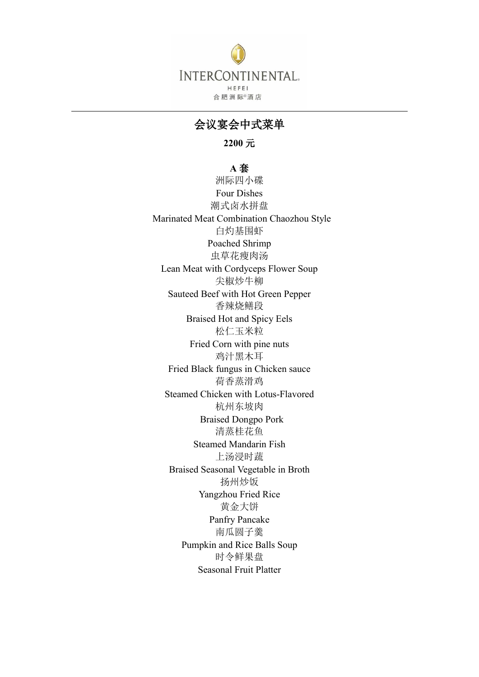

会议宴会中式菜单

**2200** 元

**A** 套 洲际四小碟 Four Dishes 潮式卤水拼盘 Marinated Meat Combination Chaozhou Style 白灼基围虾 Poached Shrimp 虫草花瘦肉汤 Lean Meat with Cordyceps Flower Soup 尖椒炒牛柳 Sauteed Beef with Hot Green Pepper 香辣烧鳝段 Braised Hot and Spicy Eels 松仁玉米粒 Fried Corn with pine nuts 鸡汁黑木耳 Fried Black fungus in Chicken sauce 荷香蒸滑鸡 Steamed Chicken with Lotus-Flavored 杭州东坡肉 Braised Dongpo Pork 清蒸桂花鱼 Steamed Mandarin Fish 上汤浸时蔬 Braised Seasonal Vegetable in Broth 扬州炒饭 Yangzhou Fried Rice 黄金大饼 Panfry Pancake 南瓜圆子羹 Pumpkin and Rice Balls Soup 时令鲜果盘 Seasonal Fruit Platter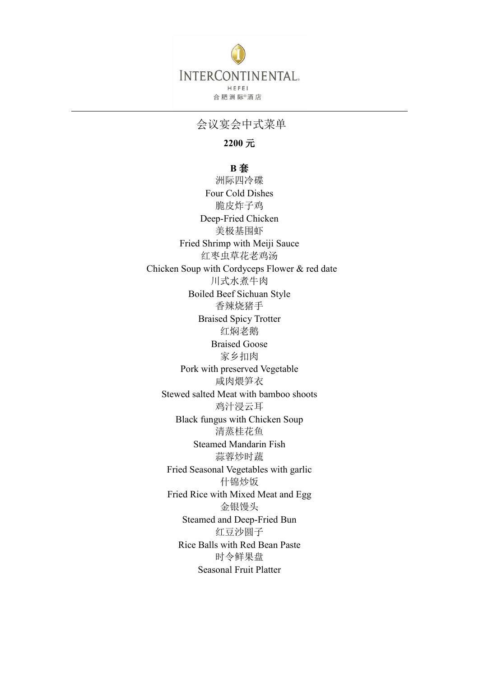

会议宴会中式菜单

**2200** 元

**B** 套

洲际四冷碟 Four Cold Dishes 脆皮炸子鸡 Deep-Fried Chicken 美极基围虾 Fried Shrimp with Meiji Sauce 红枣虫草花老鸡汤 Chicken Soup with Cordyceps Flower & red date 川式水煮牛肉 Boiled Beef Sichuan Style 香辣烧猪手 Braised Spicy Trotter 红焖老鹅 Braised Goose 家乡扣肉 Pork with preserved Vegetable 咸肉煨笋衣 Stewed salted Meat with bamboo shoots 鸡汁浸云耳 Black fungus with Chicken Soup 清蒸桂花鱼 Steamed Mandarin Fish 蒜蓉炒时蔬 Fried Seasonal Vegetables with garlic 什锦炒饭 Fried Rice with Mixed Meat and Egg 金银馒头 Steamed and Deep-Fried Bun 红豆沙圆子 Rice Balls with Red Bean Paste 时令鲜果盘 Seasonal Fruit Platter